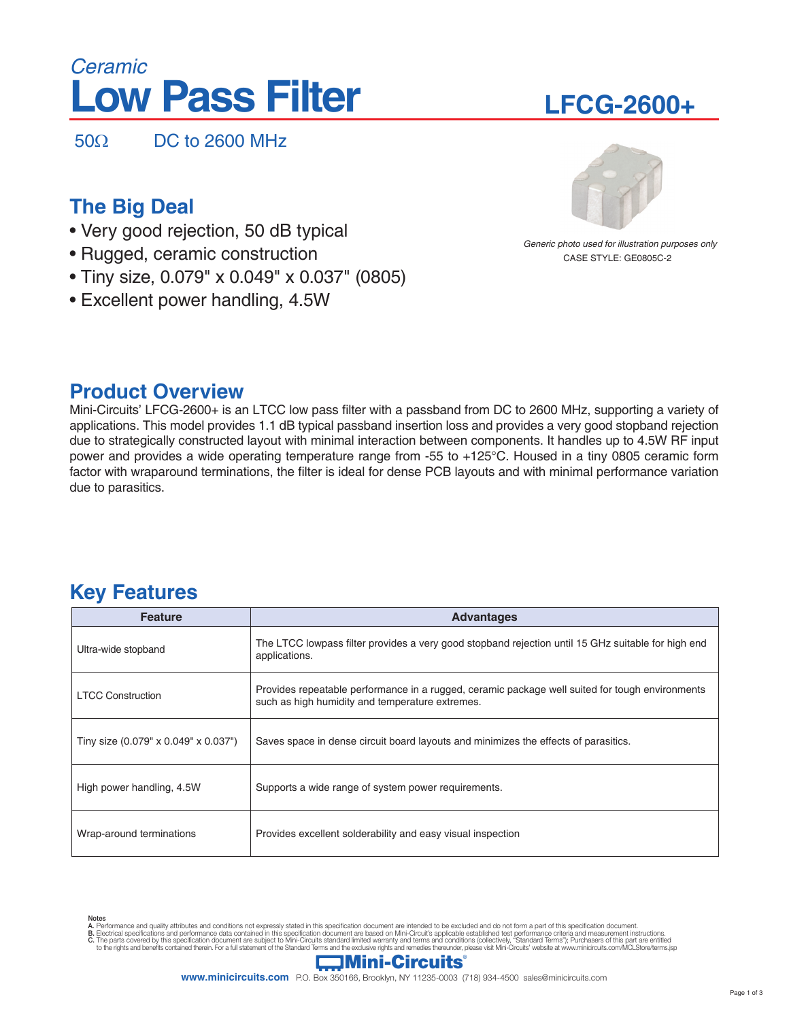# **Low Pass Filter** *Ceramic*

50Ω DC to 2600 MHz

## **The Big Deal**

- Very good rejection, 50 dB typical
- Rugged, ceramic construction
- Tiny size, 0.079" x 0.049" x 0.037" (0805)
- Excellent power handling, 4.5W

### **Product Overview**

Mini-Circuits' LFCG-2600+ is an LTCC low pass filter with a passband from DC to 2600 MHz, supporting a variety of applications. This model provides 1.1 dB typical passband insertion loss and provides a very good stopband rejection due to strategically constructed layout with minimal interaction between components. It handles up to 4.5W RF input power and provides a wide operating temperature range from -55 to +125°C. Housed in a tiny 0805 ceramic form factor with wraparound terminations, the filter is ideal for dense PCB layouts and with minimal performance variation due to parasitics.

### **Key Features**

| <b>Feature</b>                       | <b>Advantages</b>                                                                                                                                  |  |  |  |
|--------------------------------------|----------------------------------------------------------------------------------------------------------------------------------------------------|--|--|--|
| Ultra-wide stopband                  | The LTCC lowpass filter provides a very good stopband rejection until 15 GHz suitable for high end<br>applications.                                |  |  |  |
| <b>LTCC Construction</b>             | Provides repeatable performance in a rugged, ceramic package well suited for tough environments<br>such as high humidity and temperature extremes. |  |  |  |
| Tiny size (0.079" x 0.049" x 0.037") | Saves space in dense circuit board layouts and minimizes the effects of parasitics.                                                                |  |  |  |
| High power handling, 4.5W            | Supports a wide range of system power requirements.                                                                                                |  |  |  |
| Wrap-around terminations             | Provides excellent solderability and easy visual inspection                                                                                        |  |  |  |

Notes<br>A. Performance and quality attributes and conditions not expressly stated in this specification document are intended to be excluded and do not form a part of this specification document.<br>B. Electrical specifications



CASE STYLE: GE0805C-2 *Generic photo used for illustration purposes only*



# **LFCG-2600+**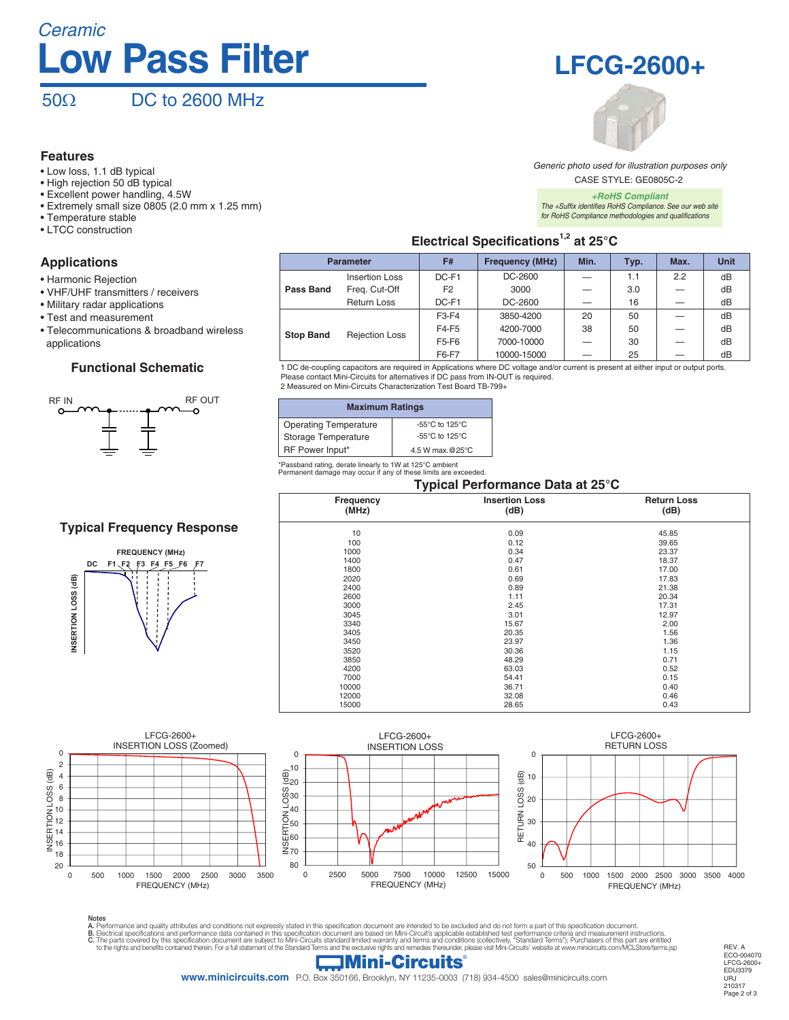# *Ceramic* **Low Pass Filter**

 $50\Omega$  DC to 2600 MHz

#### **Features**

- Low loss, 1.1 dB typical
- High rejection 50 dB typical
- Excellent power handling, 4.5W
- Extremely small size 0805 (2.0 mm x 1.25 mm)
- Temperature stable
- LTCC construction

#### **Applications**

- Harmonic Rejection
- VHF/UHF transmitters / receivers
- Military radar applications
- Test and measurement
- Telecommunications & broadband wireless applications

#### **Functional Schematic**



#### **Typical Frequency Response**







CASE STYLE: GE0805C-2 *Generic photo used for illustration purposes only*

*+RoHS Compliant The +Suffix identifies RoHS Compliance. See our web site for RoHS Compliance methodologies and qualifications*

### **Electrical Specifications1,2 at 25°C**

| <b>Parameter</b> |                       | F#             | <b>Frequency (MHz)</b> | Min. | Typ. | Max. | <b>Unit</b> |
|------------------|-----------------------|----------------|------------------------|------|------|------|-------------|
|                  | Insertion Loss        | DC-F1          | DC-2600                |      | 1.1  | 2.2  | dB          |
| Pass Band        | Freg. Cut-Off         | F <sub>2</sub> | 3000                   |      | 3.0  |      | dB          |
|                  | <b>Return Loss</b>    | DC-F1          | DC-2600                |      | 16   |      | dB          |
| <b>Stop Band</b> | <b>Rejection Loss</b> | $F3-F4$        | 3850-4200              | 20   | 50   |      | dB          |
|                  |                       | F4-F5          | 4200-7000              | 38   | 50   |      | dB          |
|                  |                       | F5-F6          | 7000-10000             |      | 30   |      | dB          |
|                  |                       | F6-F7          | 10000-15000            |      | 25   |      | dB          |

1 DC de-coupling capacitors are required in Applications where DC voltage and/or current is present at either input or output ports. Please contact Mini-Circuits for alternatives if DC pass from IN-OUT is required. 2 Measured on Mini-Circuits Characterization Test Board TB-799+

| <b>Maximum Ratings</b>       |                                     |  |  |  |
|------------------------------|-------------------------------------|--|--|--|
| <b>Operating Temperature</b> | $-55^{\circ}$ C to 125 $^{\circ}$ C |  |  |  |
| Storage Temperature          | $-55^{\circ}$ C to 125 $^{\circ}$ C |  |  |  |
| RF Power Input*              | 4.5 W max.@25°C                     |  |  |  |

\*Passband rating, derate linearly to 1W at 125°C ambient Permanent damage may occur if any of these limits are exceeded.

#### **Typical Performance Data at 25°C**

| i ypical Feriormance Data at 25 C |                               |       |  |  |
|-----------------------------------|-------------------------------|-------|--|--|
| Frequency<br>(MHz)                | <b>Insertion Loss</b><br>(dB) |       |  |  |
| 10                                | 0.09                          | 45.85 |  |  |
| 100                               | 0.12                          | 39.65 |  |  |
| 1000                              | 0.34                          | 23.37 |  |  |
| 1400                              | 0.47                          | 18.37 |  |  |
| 1800                              | 0.61                          | 17.00 |  |  |
| 2020                              | 0.69                          | 17.83 |  |  |
| 2400                              | 0.89                          | 21.38 |  |  |
| 2600                              | 1.11                          | 20.34 |  |  |
| 3000                              | 2.45                          | 17.31 |  |  |
| 3045                              | 3.01                          | 12.97 |  |  |
| 3340                              | 15.67                         | 2.00  |  |  |
| 3405                              | 20.35                         | 1.56  |  |  |
| 3450                              | 23.97                         | 1.36  |  |  |
| 3520                              | 30.36                         | 1.15  |  |  |
| 3850                              | 48.29                         | 0.71  |  |  |
| 4200                              | 63.03                         | 0.52  |  |  |
| 7000                              | 54.41                         | 0.15  |  |  |
| 10000                             | 36.71                         | 0.40  |  |  |
| 12000                             | 32.08                         | 0.46  |  |  |
| 15000                             | 28.65                         | 0.43  |  |  |



Notes<br>A. Performance and quality attributes and conditions not expressly stated in this specification document are intended to be excluded and do not form a part of this specification document.<br>B. Electrical specifications

### $\Box$ Mini-Circuits

**www.minicircuits.com** P.O. Box 350166, Brooklyn, NY 11235-0003 (718) 934-4500 sales@minicircuits.com

REV. A ECO-004070 LFCG-2600+ EDU3379 URJ 210317 Page 2 of 3